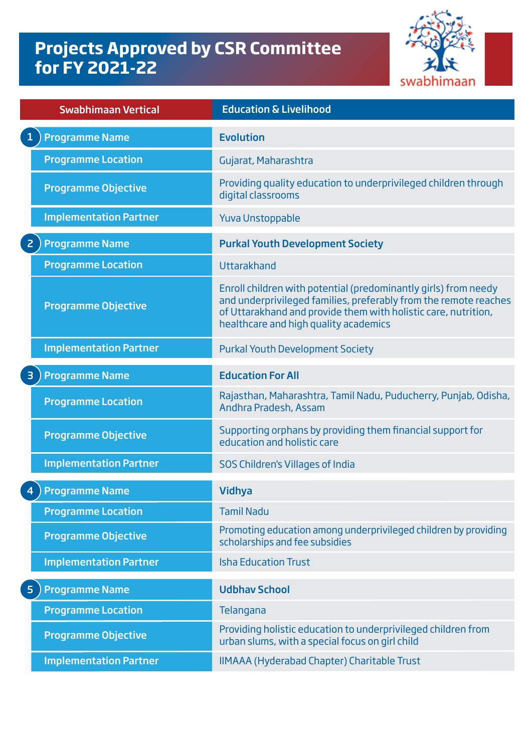## **Projects Approved by CSR Committee for FY 2021-22**



| <b>Swabhimaan Vertical</b>              | <b>Education &amp; Livelihood</b>                                                                                                                                                                                                              |
|-----------------------------------------|------------------------------------------------------------------------------------------------------------------------------------------------------------------------------------------------------------------------------------------------|
| $\mathbf{1}$<br><b>Programme Name</b>   | <b>Evolution</b>                                                                                                                                                                                                                               |
| <b>Programme Location</b>               | Gujarat, Maharashtra                                                                                                                                                                                                                           |
| <b>Programme Objective</b>              | Providing quality education to underprivileged children through<br>digital classrooms                                                                                                                                                          |
| <b>Implementation Partner</b>           | <b>Yuva Unstoppable</b>                                                                                                                                                                                                                        |
| $\overline{2}$<br><b>Programme Name</b> | <b>Purkal Youth Development Society</b>                                                                                                                                                                                                        |
| <b>Programme Location</b>               | Uttarakhand                                                                                                                                                                                                                                    |
| <b>Programme Objective</b>              | Enroll children with potential (predominantly girls) from needy<br>and underprivileged families, preferably from the remote reaches<br>of Uttarakhand and provide them with holistic care, nutrition,<br>healthcare and high quality academics |
| <b>Implementation Partner</b>           | <b>Purkal Youth Development Society</b>                                                                                                                                                                                                        |
| <b>Programme Name</b><br>$\overline{3}$ | <b>Education For All</b>                                                                                                                                                                                                                       |
| <b>Programme Location</b>               | Rajasthan, Maharashtra, Tamil Nadu, Puducherry, Punjab, Odisha,<br>Andhra Pradesh, Assam                                                                                                                                                       |
| <b>Programme Objective</b>              | Supporting orphans by providing them financial support for<br>education and holistic care                                                                                                                                                      |
| <b>Implementation Partner</b>           | SOS Children's Villages of India                                                                                                                                                                                                               |
| <b>Programme Name</b><br>$\overline{4}$ | <b>Vidhya</b>                                                                                                                                                                                                                                  |
| <b>Programme Location</b>               | <b>Tamil Nadu</b>                                                                                                                                                                                                                              |
| <b>Programme Objective</b>              | Promoting education among underprivileged children by providing<br>scholarships and fee subsidies                                                                                                                                              |
| <b>Implementation Partner</b>           | <b>Isha Education Trust</b>                                                                                                                                                                                                                    |
| <b>Programme Name</b><br>5              | <b>Udbhav School</b>                                                                                                                                                                                                                           |
| <b>Programme Location</b>               | Telangana                                                                                                                                                                                                                                      |
| <b>Programme Objective</b>              | Providing holistic education to underprivileged children from<br>urban slums, with a special focus on girl child                                                                                                                               |
| <b>Implementation Partner</b>           | <b>IIMAAA (Hyderabad Chapter) Charitable Trust</b>                                                                                                                                                                                             |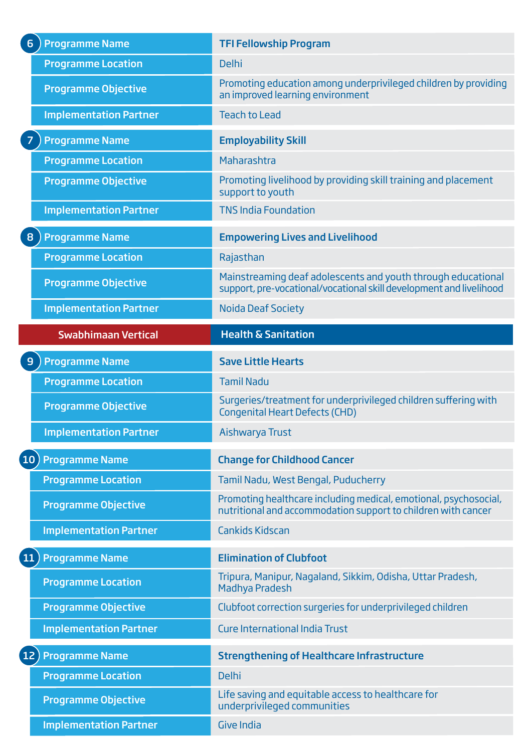| <b>Programme Name</b><br>6 <sup>1</sup>  | <b>TFI Fellowship Program</b>                                                                                                       |
|------------------------------------------|-------------------------------------------------------------------------------------------------------------------------------------|
| <b>Programme Location</b>                | <b>Delhi</b>                                                                                                                        |
| <b>Programme Objective</b>               | Promoting education among underprivileged children by providing<br>an improved learning environment                                 |
| <b>Implementation Partner</b>            | <b>Teach to Lead</b>                                                                                                                |
| <b>Programme Name</b>                    | <b>Employability Skill</b>                                                                                                          |
| <b>Programme Location</b>                | Maharashtra                                                                                                                         |
| <b>Programme Objective</b>               | Promoting livelihood by providing skill training and placement<br>support to youth                                                  |
| <b>Implementation Partner</b>            | <b>TNS India Foundation</b>                                                                                                         |
| <b>Programme Name</b><br>8               | <b>Empowering Lives and Livelihood</b>                                                                                              |
| <b>Programme Location</b>                | Rajasthan                                                                                                                           |
| <b>Programme Objective</b>               | Mainstreaming deaf adolescents and youth through educational<br>support, pre-vocational/vocational skill development and livelihood |
| <b>Implementation Partner</b>            | <b>Noida Deaf Society</b>                                                                                                           |
| <b>Swabhimaan Vertical</b>               | <b>Health &amp; Sanitation</b>                                                                                                      |
| <b>Programme Name</b><br>9               | <b>Save Little Hearts</b>                                                                                                           |
|                                          |                                                                                                                                     |
| <b>Programme Location</b>                | <b>Tamil Nadu</b>                                                                                                                   |
| <b>Programme Objective</b>               | Surgeries/treatment for underprivileged children suffering with<br><b>Congenital Heart Defects (CHD)</b>                            |
| <b>Implementation Partner</b>            | Aishwarya Trust                                                                                                                     |
| <b>Programme Name</b><br>10              | <b>Change for Childhood Cancer</b>                                                                                                  |
| <b>Programme Location</b>                | Tamil Nadu, West Bengal, Puducherry                                                                                                 |
| <b>Programme Objective</b>               | Promoting healthcare including medical, emotional, psychosocial,<br>nutritional and accommodation support to children with cancer   |
| <b>Implementation Partner</b>            | <b>Cankids Kidscan</b>                                                                                                              |
| <sup>11</sup><br><b>Programme Name</b>   | <b>Elimination of Clubfoot</b>                                                                                                      |
| <b>Programme Location</b>                | Tripura, Manipur, Nagaland, Sikkim, Odisha, Uttar Pradesh,<br><b>Madhya Pradesh</b>                                                 |
| <b>Programme Objective</b>               | Clubfoot correction surgeries for underprivileged children                                                                          |
| <b>Implementation Partner</b>            | <b>Cure International India Trust</b>                                                                                               |
| <b>Programme Name</b><br>12 <sub>1</sub> | <b>Strengthening of Healthcare Infrastructure</b>                                                                                   |
| <b>Programme Location</b>                | <b>Delhi</b>                                                                                                                        |
| <b>Programme Objective</b>               | Life saving and equitable access to healthcare for<br>underprivileged communities                                                   |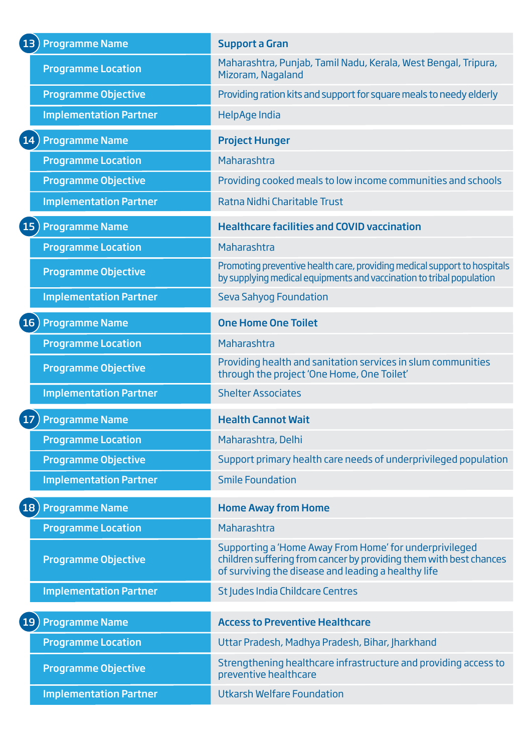| [13 ) Programme Name          | <b>Support a Gran</b>                                                                                                                                                               |
|-------------------------------|-------------------------------------------------------------------------------------------------------------------------------------------------------------------------------------|
| <b>Programme Location</b>     | Maharashtra, Punjab, Tamil Nadu, Kerala, West Bengal, Tripura,<br>Mizoram, Nagaland                                                                                                 |
| <b>Programme Objective</b>    | Providing ration kits and support for square meals to needy elderly                                                                                                                 |
| <b>Implementation Partner</b> | HelpAge India                                                                                                                                                                       |
| 14) Programme Name            | <b>Project Hunger</b>                                                                                                                                                               |
| <b>Programme Location</b>     | Maharashtra                                                                                                                                                                         |
| <b>Programme Objective</b>    | Providing cooked meals to low income communities and schools                                                                                                                        |
| <b>Implementation Partner</b> | Ratna Nidhi Charitable Trust                                                                                                                                                        |
| [15 ) Programme Name          | <b>Healthcare facilities and COVID vaccination</b>                                                                                                                                  |
| <b>Programme Location</b>     | Maharashtra                                                                                                                                                                         |
| <b>Programme Objective</b>    | Promoting preventive health care, providing medical support to hospitals<br>by supplying medical equipments and vaccination to tribal population                                    |
| <b>Implementation Partner</b> | <b>Seva Sahyog Foundation</b>                                                                                                                                                       |
| [16 ) Programme Name          | <b>One Home One Toilet</b>                                                                                                                                                          |
| <b>Programme Location</b>     | Maharashtra                                                                                                                                                                         |
| <b>Programme Objective</b>    | Providing health and sanitation services in slum communities<br>through the project 'One Home, One Toilet'                                                                          |
| <b>Implementation Partner</b> | <b>Shelter Associates</b>                                                                                                                                                           |
| <b>Programme Name</b><br>17   | <b>Health Cannot Wait</b>                                                                                                                                                           |
|                               |                                                                                                                                                                                     |
| <b>Programme Location</b>     | Maharashtra, Delhi                                                                                                                                                                  |
| <b>Programme Objective</b>    | Support primary health care needs of underprivileged population                                                                                                                     |
| <b>Implementation Partner</b> | <b>Smile Foundation</b>                                                                                                                                                             |
| 18) Programme Name            | <b>Home Away from Home</b>                                                                                                                                                          |
| <b>Programme Location</b>     | Maharashtra                                                                                                                                                                         |
| <b>Programme Objective</b>    | Supporting a 'Home Away From Home' for underprivileged<br>children suffering from cancer by providing them with best chances<br>of surviving the disease and leading a healthy life |
| <b>Implementation Partner</b> | St Judes India Childcare Centres                                                                                                                                                    |
| [19] Programme Name           | <b>Access to Preventive Healthcare</b>                                                                                                                                              |
| <b>Programme Location</b>     | Uttar Pradesh, Madhya Pradesh, Bihar, Jharkhand                                                                                                                                     |
| <b>Programme Objective</b>    | Strengthening healthcare infrastructure and providing access to<br>preventive healthcare                                                                                            |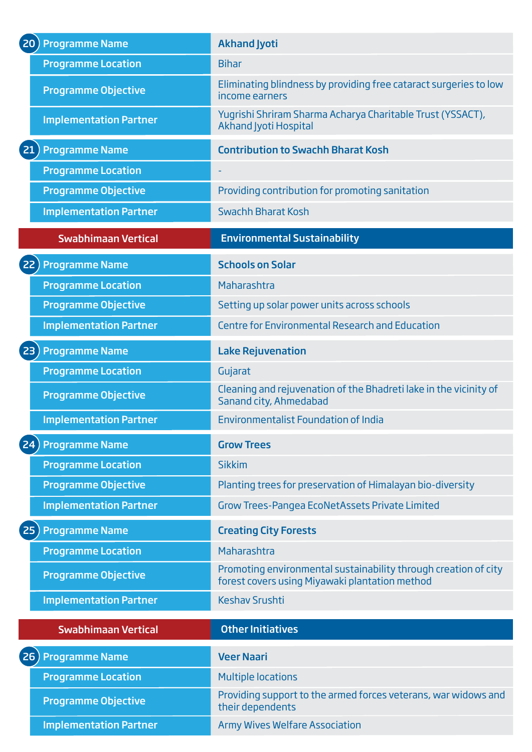| <b>(20) Programme Name</b>                  | <b>Akhand Jyoti</b>                                                                                               |
|---------------------------------------------|-------------------------------------------------------------------------------------------------------------------|
| <b>Programme Location</b>                   | <b>Bihar</b>                                                                                                      |
| <b>Programme Objective</b>                  | Eliminating blindness by providing free cataract surgeries to low<br>income earners                               |
| <b>Implementation Partner</b>               | Yugrishi Shriram Sharma Acharya Charitable Trust (YSSACT),<br><b>Akhand Jyoti Hospital</b>                        |
| <b>Programme Name</b><br>21                 | <b>Contribution to Swachh Bharat Kosh</b>                                                                         |
| <b>Programme Location</b>                   |                                                                                                                   |
| <b>Programme Objective</b>                  | Providing contribution for promoting sanitation                                                                   |
| <b>Implementation Partner</b>               | Swachh Bharat Kosh                                                                                                |
| <b>Swabhimaan Vertical</b>                  | <b>Environmental Sustainability</b>                                                                               |
| <b>Programme Name</b><br>22                 | <b>Schools on Solar</b>                                                                                           |
| <b>Programme Location</b>                   | Maharashtra                                                                                                       |
| <b>Programme Objective</b>                  | Setting up solar power units across schools                                                                       |
| <b>Implementation Partner</b>               | <b>Centre for Environmental Research and Education</b>                                                            |
| (23) Programme Name                         | <b>Lake Rejuvenation</b>                                                                                          |
| <b>Programme Location</b>                   | Gujarat                                                                                                           |
| <b>Programme Objective</b>                  | Cleaning and rejuvenation of the Bhadreti lake in the vicinity of<br>Sanand city, Ahmedabad                       |
| <b>Implementation Partner</b>               | <b>Environmentalist Foundation of India</b>                                                                       |
| <b>Programme Name</b><br>24                 | <b>Grow Trees</b>                                                                                                 |
| <b>Programme Location</b>                   | <b>Sikkim</b>                                                                                                     |
| <b>Programme Objective</b>                  | Planting trees for preservation of Himalayan bio-diversity                                                        |
| <b>Implementation Partner</b>               | <b>Grow Trees-Pangea EcoNetAssets Private Limited</b>                                                             |
| $\left( 25\right)$<br><b>Programme Name</b> | <b>Creating City Forests</b>                                                                                      |
| <b>Programme Location</b>                   | Maharashtra                                                                                                       |
| <b>Programme Objective</b>                  | Promoting environmental sustainability through creation of city<br>forest covers using Miyawaki plantation method |
| <b>Implementation Partner</b>               | <b>Keshav Srushti</b>                                                                                             |
| <b>Swabhimaan Vertical</b>                  | <b>Other Initiatives</b>                                                                                          |
| <b>Programme Name</b><br>(26)               | <b>Veer Naari</b>                                                                                                 |
| <b>Programme Location</b>                   | <b>Multiple locations</b>                                                                                         |
| <b>Programme Objective</b>                  | Providing support to the armed forces veterans, war widows and<br>their dependents                                |
| <b>Implementation Partner</b>               | <b>Army Wives Welfare Association</b>                                                                             |